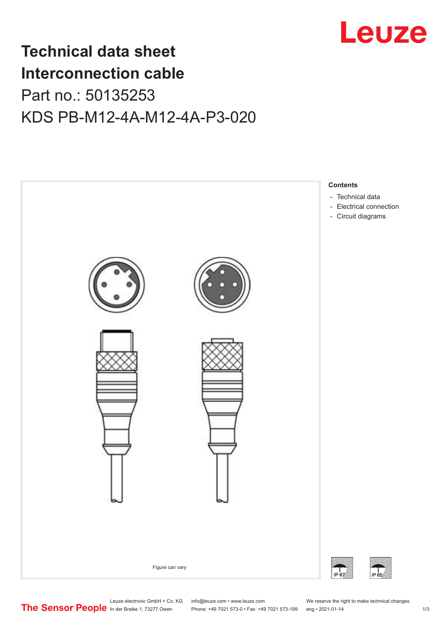

## **Technical data sheet Interconnection cable** Part no.: 50135253 KDS PB-M12-4A-M12-4A-P3-020



Leuze electronic GmbH + Co. KG info@leuze.com • www.leuze.com We reserve the right to make technical changes<br> **The Sensor People** in der Braike 1, 73277 Owen Phone: +49 7021 573-0 • Fax: +49 7021 573-199 eng • 2021-01-14 Phone: +49 7021 573-0 • Fax: +49 7021 573-199 eng • 2021-01-14 1 73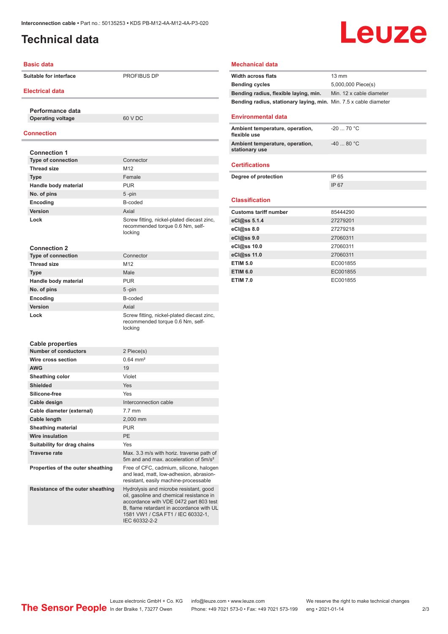## <span id="page-1-0"></span>**Technical data**

# Leuze

#### **Basic data**

**Suitable for interface PROFIBUS DP** 

#### **Electrical data**

**Performance data Operating voltage** 60 V DC

#### **Connection**

| <b>Connection 1</b>         |                                                                                           |
|-----------------------------|-------------------------------------------------------------------------------------------|
| <b>Type of connection</b>   | Connector                                                                                 |
| Thread size                 | M <sub>12</sub>                                                                           |
| <b>Type</b>                 | Female                                                                                    |
| Handle body material        | <b>PUR</b>                                                                                |
| No. of pins                 | $5 - pin$                                                                                 |
| Encoding                    | B-coded                                                                                   |
| Version                     | Axial                                                                                     |
| Lock                        | Screw fitting, nickel-plated diecast zinc,<br>recommended torque 0.6 Nm, self-<br>locking |
| <b>Connection 2</b>         |                                                                                           |
| <b>Type of connection</b>   | Connector                                                                                 |
| <b>Thread size</b>          | M <sub>12</sub>                                                                           |
| <b>Type</b>                 | Male                                                                                      |
| Handle body material        | <b>PUR</b>                                                                                |
| No. of pins                 | $5 - pin$                                                                                 |
| Encoding                    | B-coded                                                                                   |
| Version                     | Axial                                                                                     |
| Lock                        | Screw fitting, nickel-plated diecast zinc,<br>recommended torque 0.6 Nm, self-<br>locking |
| <b>Cable properties</b>     |                                                                                           |
| <b>Number of conductors</b> | 2 Piece(s)                                                                                |
| Wire cross section          | $0.64 \, \text{mm}^2$                                                                     |
| <b>AWG</b>                  | 19                                                                                        |
| Sheathing color             | Violet                                                                                    |
| <b>Shielded</b>             | Yes                                                                                       |

#### **Silicone-free** Yes **Cable design Interconnection cable Cable diameter (external)** 7.7 mm **Cable length** 2,000 mm **Sheathing material** PUR **Wire insulation** PE **Suitability for drag chains** Yes **Traverse rate** Max. 3.3 m/s with horiz. traverse path of 5m and and max. acceleration of 5m/s² **Properties of the outer sheathing** Free of CFC, cadmium, silicone, halogen and lead, matt, low-adhesion, abrasionresistant, easily machine-processable **Resistance of the outer sheathing** Hydrolysis and microbe resistant, good oil, gasoline and chemical resistance in accordance with VDE 0472 part 803 test B, flame retardant in accordance with UL 1581 VW1 / CSA FT1 / IEC 60332-1,

IEC 60332-2-2

#### **Mechanical data**

| <b>Width across flats</b>                                                | $13 \text{ mm}$          |
|--------------------------------------------------------------------------|--------------------------|
| <b>Bending cycles</b>                                                    | 5,000,000 Piece(s)       |
| Bending radius, flexible laying, min.                                    | Min. 12 x cable diameter |
| <b>Bending radius, stationary laying, min.</b> Min. 7.5 x cable diameter |                          |
|                                                                          |                          |
| <b>Environmental data</b>                                                |                          |
| Ambient temperature, operation,<br>flexible use                          | $-20$ 70 °C              |
| Ambient temperature, operation,<br>stationary use                        | $-40$ 80 $°C$            |
| <b>Certifications</b>                                                    |                          |
| Degree of protection                                                     | IP 65                    |
|                                                                          | IP 67                    |
|                                                                          |                          |
| <b>Classification</b>                                                    |                          |
| <b>Customs tariff number</b>                                             | 85444290                 |
| eCl@ss 5.1.4                                                             | 27279201                 |
| $eC/\omega$ ss 8.0                                                       | 27279218                 |
| eCl@ss 9.0                                                               | 27060311                 |
| eCl@ss 10.0                                                              | 27060311                 |
| eCl@ss 11.0                                                              | 27060311                 |
| <b>ETIM 5.0</b>                                                          | EC001855                 |
| <b>ETIM 6.0</b>                                                          | EC001855                 |
| <b>ETIM 7.0</b>                                                          | EC001855                 |